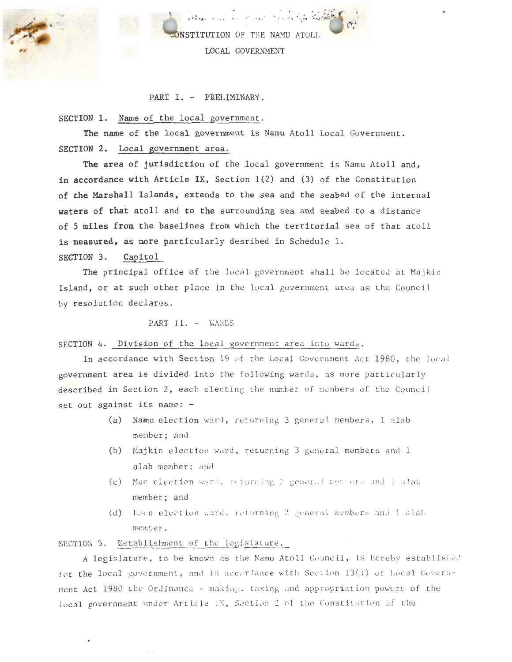

ONSTITUTION OF THE NAMU ATOLL LOCAL GOVERNMENT

I . • ~ )

' ' *'1- .. .. .....* <sup>~</sup>

PART I. - PRELIMINARY.

SECTION 1. Name of the local government.

The name of the local government is Namu Atoll Local Government. SECTION 2. Local government area.

The area of jurisdiction of the local government is Namu Atoll and, in accordance with Article IX, Section 1(2) and (3) of the Constitution of the Marshall Islands, extends to the sea and the seabed of the internal waters of that atoll and to the surrounding sea and seabed to a distance of 5 miles from the baselines from which the territorial sea of that atoll is measured, as more particularly desribed in Schedule 1. SECTION 3. Capitol

The principal office of the local government shall be located at Majkin Island, or at such other place in the local government area as the Council by resolution declares.

### PART II. - WARDS

SECTION 4. Division of the local government area into wards.

In accordance with Section 19 of the Local Government Act 1980, the local government area is divided into the following wards, as more particularly described in Section 2, each electing the number of members of the Council set out against its name: -

- (a) Namu election ward, returning 3 general members, 1 alab member; and
- (b) Majkin election ward, returning 3 general members and 1 alab member: and
- (c) Mae election ward, returning 2 general members and 1 alab member; and
- (d) Loen election ward. returning 2 general members and 1 alab member .

SECTION 5. Establishment of the legislature.

A legislature, to be known as the Namu Atoll Council, is hereby established for the local government, and in accor lance with Section 13(1) of Local Government Act 1980 the Ordinance - making, taxing and appropriation powers of the local government under Article IX, Section 2 of the Constitution of the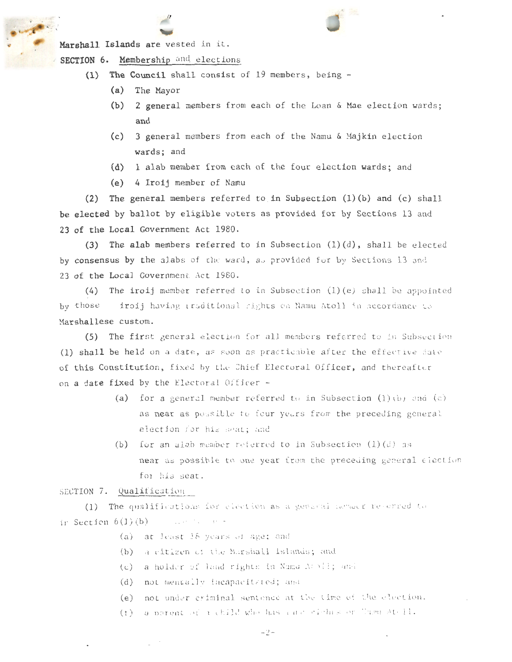Marshall Islands are vested in it.

.. \_ *.. --:* 

SECTION 6. Membership and elections

- (1) The Council shall consist of 19 members, being  $-$ 
	- (a) The Mayor
	- (b) 2 general members from each of the Loan  $\&$  Mae election wards; and
	- (c) 3 general members from each of the Namu  $\&$  Majkin election wards; and
	- (d) 1 alab member from each of the four election wards; and
	- (e) 4 Iroij member of Namu

(2) The general members referred to in Subsection (1) (b) and (c) shall be elected by ballot by eligible voters as provided for by Sections 13 and 23 of the Local Government Act 1980.

(3) The alab members referred to in Subsection  $(1)(d)$ , shall be elected by consensus by the alabs of the ward, as provided for by Sections 13 and 23 of the Local Government Act 1980.

(4) The iroij member referred to in Subsection  $(1)(e)$  shall be appointed by those iroij having traditional rights on Namu Atoll in accordance to Marshallese custom.

(5) The first general election for all members referred to in Subsection (1) shall be held on a date, as soon as practicable after the effective date of this Constitution, fixed by the Chief Electoral Officer, and thereafter on a date fixed by the Electoral Officer -

- (a) for a general member referred to in Subsection  $(1)$  (b) and  $(c)$ as near as possible to four years from the preceding general election for his seat; and
- (b) for an algo member referred to in Subsection  $(1)(d)$  as near as possible to one year from the preceding general election for his seat.

#### SECTION 7. Qualification

(1) The qualifications for election as a general named reverted to in Section  $6(1)(b)$ completed the complete

- $(a)$  at least 18 years of age; and
- $(b)$  a citizen of the Marshall Islands; and
- (c) a holder of land rights in Nama A: bil; and
- (d) not mentally incapacitated; and
- (e) not under criminal sentence at the time of the election.
- (f) a parent of a child who has calc sishes or Them Atell.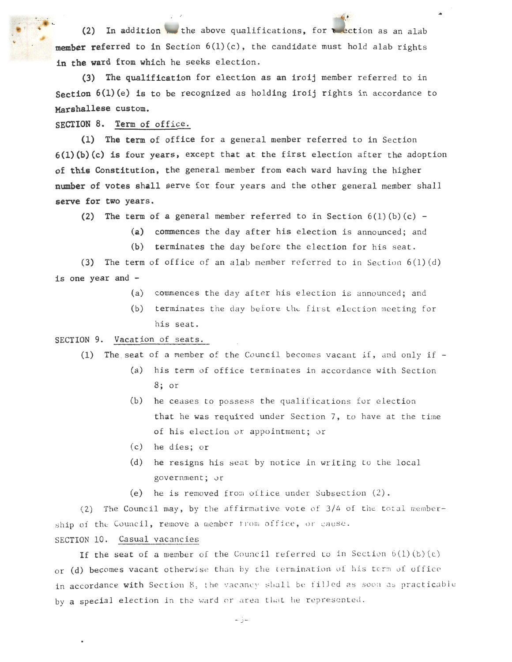(2) In addition the above qualifications, for telection as an alab member referred to in Section  $6(1)(c)$ , the candidate must hold alab rights in the ward from which he seeks election.

(3) The qualification for election as an iroij member referred to in Section  $6(1)(e)$  is to be recognized as holding iroij rights in accordance to Marshallese custom.

SECTION 8. Term of office.

(1) The term of office for a general member referred to in Section  $6(1)(b)(c)$  is four years, except that at the first election after the adoption of this Constitution, the general member from each ward having the higher number of votes shall serve for four years and the other general member shall serve for two years.

(2) The term of a general member referred to in Section  $6(1)(b)(c)$  -

- (a) commences the day after his election is announced; and
- (b) terminates the day before the election for his seat.

(3) The term of office of an alab member referred to in Section  $6(1)(d)$ is one year and -

- (a) commences the day after his election is announced; and
- (b) terminates the day before the first election meeting for his seat.

SECTION 9. Vacation of seats.

(1) The seat of a member of the Council becomes vacant if, and only if  $-$ 

- (a) his term of office terminates in accordance with Section 8; or
- $(b)$  he ceases to possess the qualifications for election that he was required under Section 7, to have at the time of his election or appointment; or
- (c) he dies; or
- (d) he resigns his seat by notice in writing to the local government; or
- (e) he is removed from office under Subsection  $(2)$ .

(2) The Council may, by the affirmative vote of  $3/4$  of the total membership of the Council, remove a member from office, or cause. SECTION 10. Casual vacancies

If the seat of a member of the Council referred to in Section  $6(1)(b)(c)$ or (d) becomes vacant otherwise than by the termination of his term of office in accordance with Section 8, the vacancy shall be filled as soon as practicable by a special election in the ward or area that he represented.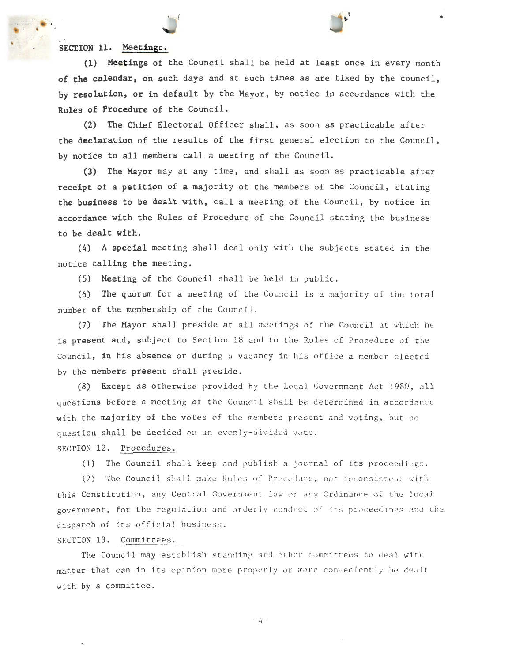# SECTION 11. Meetings.

(1) Meetings of the Council shall be held at least once in every month of **the** calendar, on such days and at such times as are fixed by the council, by resolution, or in default by the Mayor, by notice in accordance with the Rules of Procedure of the Council.

(2) The Chief Electoral Officer shall, as soon as practicable after the declaration of the results of the first general election to the Council, by notice to all members call a meeting of the Council.

(3) The Mayor may at any time, and shall as soon as practicable after receipt of a petition of a majority of the members of the Council, stating the business to be dealt with, call a meeting of the Council, by notice in accordance with the Rules of Procedure of the Council stating the business to be dealt with.

(4) A special meeting shall deal only with the subjects stated in the notice calling the meeting.

(5) Meeting of the Council shall be held in public.

(6) The quorum for a meeting of the Council is a majority of the total number of the membership of the Council.

(7) The Mayor shall preside at all meetings of the Council at which he is present and, subject to Section 18 and to the Rules of Procedure of the Council, in his absence or during a vacancy in his office a member elected by the members present shall preside.

(8) Except as otherwise provided by the Local Government Act 1980, all questions before a meeting of the Council shall be determined in accordance with the majority of the votes of the members present and voting, but no question shall be decided on an evenly-divided vote.

## SECTION 12. Procedures.

(1) The Council shall keep and publish a journal of its proceedings .

(2) The Council shall make Rules of Precedure, not inconsistent with this Constitution, any Central Government law or any Ordinance of the local government, for the regulation and orderly conduct of its proceedings and the dispatch of its official busjness .

### SECTION 13. Committees.

The Council may establish standing and other committees to deal with matter that can in its opinion more properly or more conveniently be dealt with by a committee.

 $4-$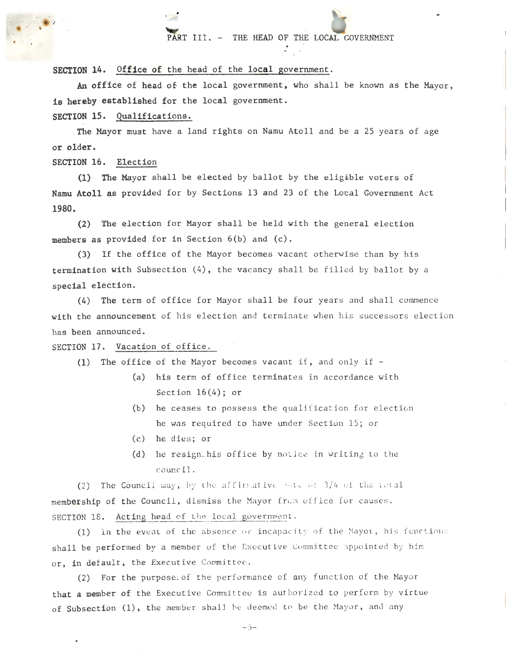## PART III. - THE HEAD OF THE LOCAL GOVERNMENT

 $\sim$ 

SECTION 14. Office of the head of the local government.

An office of head of the local government, who shall be known as the Mayor, is hereby established for the local government.

SECTION 15. Qualifications.

The Mayor must have a land rights on Namu Atoll and be a 25 years of age or older.

SECTION 16. Election

·'

(1) The Mayor shall be elected by ballot by the eligible voters of Namu Atoll as provided for by Sections 13 and 23 of the Local Government Act 1980.

(2) The election for Mayor shall be held with the general election members as provided for in Section 6(b) and (c).

(3) If the office of the Mayor becomes vacant otherwise than by his termination with Subsection  $(4)$ , the vacancy shall be filled by ballot by a special election.

 $(4)$  The term of office for Mayor shall be four years and shall commence with the announcement of his election and terminate when his successors election has been announced.

SECTION 17. Vacation of office.

(1) The office of the Mayor becomes vacant if, and only if  $-$ 

- (a) his term of office terminates in accordance with Section  $16(4)$ ; or
- $(b)$  he ceases to possess the qualification for election he was required to have under Section 15; or
- $(c)$  he dies; or
- (d) he resignthis office by notice in writing to the council.

(2) The Council may, by the affirmative vote of  $3/4$  of the total membership of the Council, dismiss the Mayor from office for causes. SECTION 18. Acting head of the local government.

(1) In the event of the absence or incapacity of the Mayor, his functions shall be performed by a member of the Executive Committee appointed by him or, in default, the Executive Committee.

(2) For the purpose of the performance of any function of the Mayor that a member of the Executive Committee is authorized to perform by virtue of Subsection (1), the member shall be deemed to be the Mayor, and any

- 5-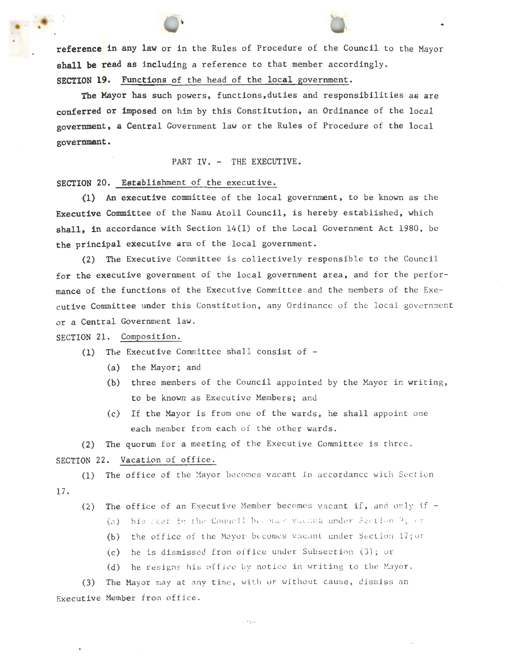reference in any law or in the Rules of Procedure of the Council to the Mayor shall be read as including a reference to that member accordingly. SECTION 19. Functions of the head of the local government.

l.

The Mayor has such powers, functions,duties and responsibilities as are conferred or imposed on him by this Constitution, an Ordinance of the local government, a Central Government law or the Rules of Procedure of the local governmant.

PART IV. - THE EXECUTIVE.

SECTION 20. Establishment of the executive.

(1) An executive committee of the local government, to be known as the Executive Committee of the Namu Atoll Council, is hereby established, which shall, in accordance with Section  $14(1)$  of the Local Government Act 1980, be the principal executive arm of the local government.

(2) The Executive Committee is collectively responsible to the Council for the executive government of the local government area, and for the performance of the functions of the Executive Committee and the members of the Executive Committee under this Constitution, any Ordinance of the local government or a Central Government law.

SECTION 21. Composition.

- (a) the Mayor; and
- (b) three members of the Council appointed by the Mayor in writing, to be known as Executive Members; and
- (c) If the Mayor is from one of the wards, he shall appoint one each member from each of the other wards.

(2) The quorum for a meeting of the Executive Committee is three. SECTION 22. Vacation of office.

(1) The office of the Mayor becomes vacant in accordance with Section 17.

(2) The office of an Executive Member becomes vacant if, and only if  $-$ 

(a) his seat in the Council becomes vacant under Section 9; or

(b) the office of the Mayor becomes vacant under Section 17; or

- $(c)$  he is dismissed from office under Subsection  $(3)$ ; or
- (d) he resigns his office by notice in writing to the Mayor.

(3) The Mayor may at any time, with or without cause, dismiss an Executive Member from office.

-o-

<sup>(1)</sup> The Executive Committee shall consist of  $-$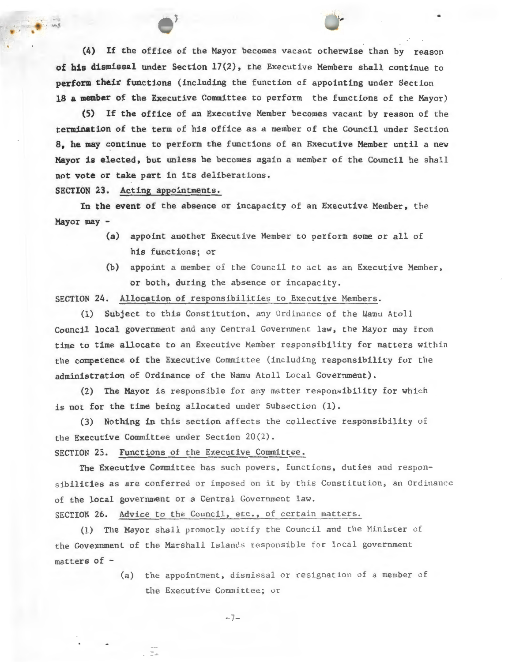(4) If the office of the Mayor becomes vacant otherwise than by reason of his dismissal under Section 17(2), the Executive Members shall continue to perform their functions (including the function of appointing under Section 18 a member of the Executive Committee to perform the functions of the Mayor)

(5) If the office of an Executive Member becomes vacant by reason of the termination of the term of his office as a member of the Council under Section 8, he may continue to perform the functions of an Executive Member until a new Mayor is elected, but unless he becomes again a member of the Council he shall not vote or take part in its deliberations.

SECTION 23. Acting appointments.

' '

In the event of the absence or incapacity of an Executive Member, the Mayor may -

- (a) appoint another Executive Member to perform some or all of his functions; or
- (b) appoint a member of the Council to act as an Executive Member, or both, during the absence or incapacity.

SECTION 24. Allocation of responsibilities to Executive Members.

(1) Subject to this Constitution, any Ordinance of the Wamu Atoll Council local government and any Central Government law, the Mayor may from time to time allocate to an Executive Member responsibility for matters within the competence of the Executive Committee (including responsibility for the administration of Ordinance of the Namu Atoll Local Government).

(2) The Mayor is responsible for any matter responsibility for which is not for the time being allocated under Subsection (1) .

(3) Nothing in this section affects the collective responsibility of the Executive Committee under Section 20(2) .

SECTION 25. Functions of the Executive Committee.

 $\ddot{z}$ .

The Executive Committee has such powers, functions, duties and responsibilities as are conferred or imposed on it by this Constitution, an Ordinance of the local government or a Central Government law.

SECTION 26. Advice to the Council, etc., of certain matters.

(1) The Mayor shall prornotly notify the Council and the Hinister of the Govennment of the Marshall Islands responsible for local government matters of -

> (a) the appointment, dismissal or resignation of a member of the Executive Committee; or

> > $-7-$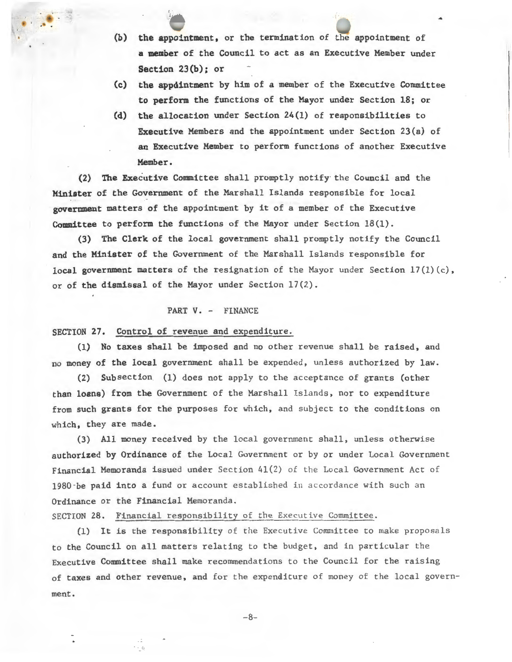- (b) the appointment, or the termination of the appointment of a member of the Council to act as an Executive Member under Section 23(b); or
- (c) the appointment by him of a member of the Executive Committee to perform the functions of the Mayor under Section 18; or
- (d) the allocation under Section 24(1) of responsibilities to Executive Members and the appointment under Section  $23(a)$  of an Executive Member to perform functions of another Executive Member.

(2) The Executive Committee shall promptly notify the Council and the Minister of the Government of the Marshall Islands responsible for local government matters of the appointment by it of a member of the Executive Committee to perform the functions of the Mayor under Section  $18(1)$ .

(3) The Clerk of the local government shall promptly notify the Council and the Minister of the Government of the Marshall Islands responsible for local government matters of the resignation of the Mayor under Section  $17(1)(c)$ , or of the dismissal of the Mayor under Section 17(2) .

#### PART V. - FINANCE

SECTION 27. Control of revenue and expenditure.

I  $\frac{t}{4}$ 

(1) No taxes shall be imposed and no other revenue shall be raised, and no money of the local government shall be expended, unless authorized by law.

(2) Subsection (1) does not apply to the acceptance of grants (other than loans) from the Government of the Marshall Islands, nor to expenditure from such grants for the purposes for which, and subject to the conditions on which, they are made.

(3) All money received by the local government shall, unless otherwise authorized by Ordinance of the Local Government or by or under Local Government Financial Memoranda issued under Section 41( 2) of the Local Government Act of 1980 -be paid into a fund or account established in accordance with such an Ordinance or the Financial Memoranda .

SECTION 28. Financial responsibility of the Executive Committee.

(1) It is the responsibility of the Executive Committee to make proposals to the Council on all matters relating to the budget, and in particular the Executive Committee shall make recommendations to the Council for the raising of taxes and other revenue, and for the expenditure of money of the local government.

-8-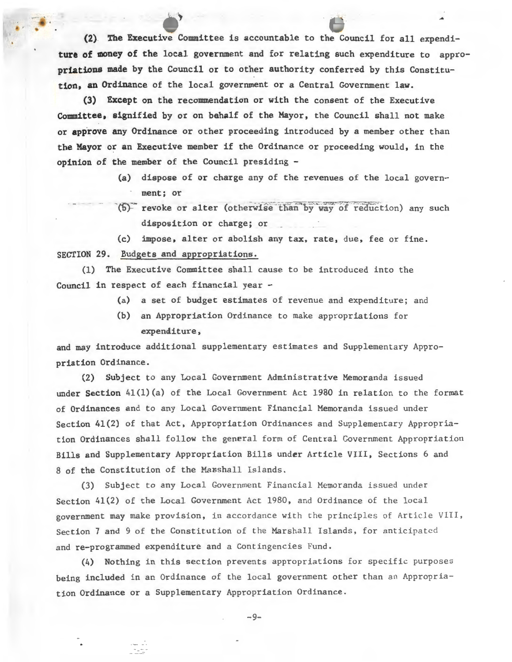(2) The Executive Committee is accountable to the Council for all expenditure of money of the local government and for relating such expenditure to appropriations made by the Council or to other authority conferred by this Constitution, an Ordinance of the local government or a Central Government law.

..

(3) Except on the recommendation or with the consent of the Executive Committee, signified by or on behalf of the Mayor, the Council shall not make or approve any Ordinance or other proceeding introduced by a member other than the Mayor or an Executive member if the Ordinance or proceeding would, in the opinion of the member of the Council presiding -

- (a) dispose of or charge any of the revenues of the local government; or
- (6) revoke or alter (otherwise than by way of reduction) any such disposition or charge; or

(c) impose, alter or abolish any tax, rate, due, fee or fine. SECTION 29. Budgets and appropriations.

(1) The Executive Committee shall cause to be introduced into the Council in respect of each financial year -

- (a) a set of budget estimates of revenue and expenditure; and
- (b) an Appropriation Ordinance to make appropriations for expenditure,

and may introduce additional supplementary estimates and Supplementary Appropriation Ordinance.

(2) Subject to any Local Government Administrative Memoranda issued under Section 41(1)(a) of the Local Government Act 1980 in relation to the format of Ordinances and to any Local Government Financial Memoranda issued under Section 41(2) of that Act, Appropriation Ordinances and Supplementary Appropriation Ordinances shall follow the general form of Central Government Appropriation Bills and Supplementary Appropriation Bills under Article VIII, Sections 6 and 8 of the Constitution of the Marshall Islands.

(3) Subject to any Local Government Financial Memoranda issued under Section  $41(2)$  of the Local Government Act 1980, and Ordinance of the local government may make provision, in accordance with the principles of Article VIII, Section 7 and 9 of the Constitution of the Marshall Islands, for anticipated and re-programmed expenditure and a Contingencies Fund.

(4) Nothing in this section prevents appropriations for specific purposes being included in an Ordinance of the local government other than an Appropriation Ordinance or a Supplementary Appropriation Ordinance .

-9-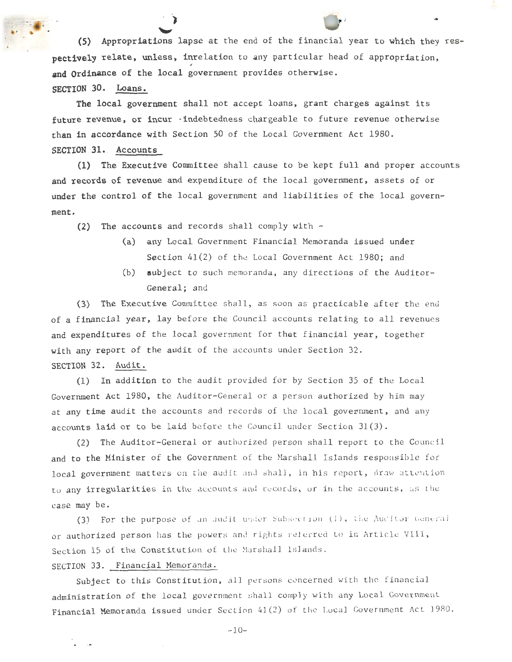(5) Appropriations lapse at the end of the financial year to which they respectively relate, unless, inrelation to any particular head of appropriation, and Ordinance of the local government provides otherwise. SECTION 30. Loans.

The local government shall not accept loans, grant charges against its future revenue, or incur · indebtedness chargeable to future revenue otherwise than in accordance with Section 50 of the Local Government Act 1980. SECTION 31. Accounts

(1) The Executive Committee shall cause to be kept full and proper accounts and records of revenue and expenditure of the local government, assets of or under the control of the local government and liabilities of the local government.

(2) The accounts and records shall comply with  $-$ 

-independent of the control  $\mathcal{P}$  . The control of the control of the control of the control of the control of the control of the control of the control of the control of the control of the control of the control of th

- (a) any Local Government Financial Memoranda issued under Section  $41(2)$  of the Local Government Act 1980; and
- (b) subject to such memoranda, any directions of the Auditor-General; and

(3) The Executive Committee shall, as soon as practicable after the end of a financial year, lay before the Council accounts relating to all revenues and expenditures of the local government for that financial year, together with any report of the audit of the accounts under Section 32. SECTION 32. Audit.

(1) In addition to the audit provided for by Section 35 of the Local Government Act 1980, the Auditor-General or a person authorized by him may at any time audit the accounts and records of the local government, and any accounts laid or to be laid before the Council under Section 31(3).

(2) The Auditor-General or authorized person shall report to the Council and to the Minister of the Government of the Marshall Islands responsible for local government matters on the audit and shall, in his report, draw attention to any irregularities in the accounts and records, or in the accounts, as the case may be .

(3) For the purpose of an audit under Subsection (1), the Auditor General or authorized person has the powers and rights referred to in Article VIII, Section 15 of the Constitution of the Marshall Islands.

## SECTION 33. Financial Memoranda.

Subject to this Constitution, all persons concerned with the financial administration of the local government shall comply with any Local Government Financial Memoranda issued under Section 41(2) of the Local Government Act 1980.

 $-1.0-$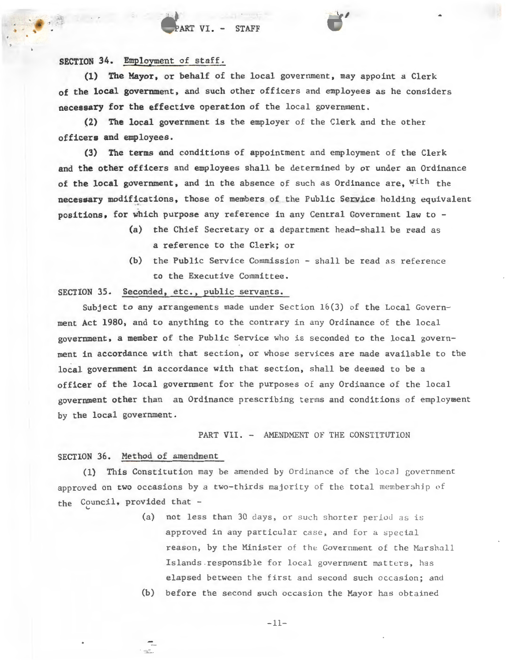# ART VI. - STAFF

SECTION 34. Employment of staff.

(1) The Mayor, or behalf of the local government, may appoint a Clerk of the local government, and such other officers and employees as he considers necessary for the effective operation of the local government.

(2) The local government is the employer of the Clerk and the other officers and employees.

(3) The terms and conditions of appointment and employment of the Clerk and the other officers and employees shall be determined by or under an Ordinance of the local government, and in the absence of such as Ordinance are, with the necessary modifications, those of members of the Public Service holding equivalent positions, for which purpose any reference in any Central Government law to -

- (a) the Chief Secretary or a department head-shall be read as a reference to the Clerk; or
- $(b)$  the Public Service Commission shall be read as reference to the Executive Committee.

# SECTION 35. Seconded, etc., public servants.

Subject to any arrangements made under Section 16(3) of the Local Government Act 1980, and to anything to the contrary in any Ordinance of the local government, a member of the Public Service who is seconded to the local government in accordance with that section, or whose services are made available to the local government in accordance with that section, shall be deemed to be a officer of the local government for the purposes of any Ordinance of the local government other than an Ordinance prescribing terms and conditions of employment by the local government.

#### PART VII. - AMENDMENT OF THE CONSTITUTION

SECTION 36. Method of amendment

(1) This Constitution may be amended by Ordinance of the local government approved on two occasions by a two-thirds majority of the total membership of the Council, provided that -

- (a) not less than 30 days, or such shorter period as is approved in any particular case, and for a special reason, by the Minister of the Government of the Marshall Islands responsible for local government matters, has elapsed between the first and second such occasion; and
- (b) before the second such occasion the Mayor has obtained

 $-11-$